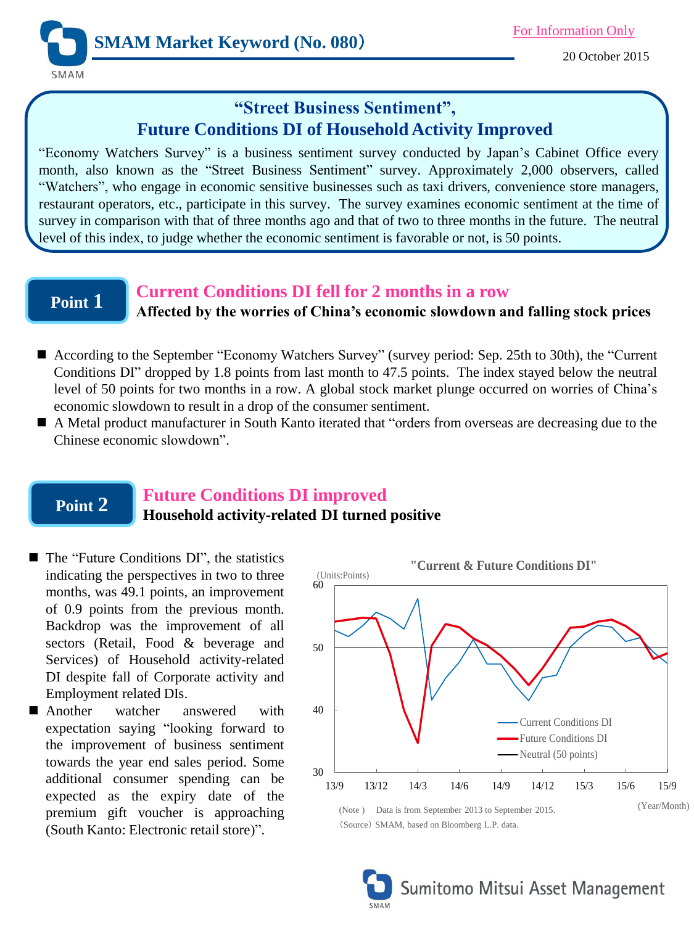

20 October 2015

# **"Street Business Sentiment", Future Conditions DI of Household Activity Improved**

"Economy Watchers Survey" is a business sentiment survey conducted by Japan's Cabinet Office every month, also known as the "Street Business Sentiment" survey. Approximately 2,000 observers, called "Watchers", who engage in economic sensitive businesses such as taxi drivers, convenience store managers, restaurant operators, etc., participate in this survey. The survey examines economic sentiment at the time of survey in comparison with that of three months ago and that of two to three months in the future. The neutral level of this index, to judge whether the economic sentiment is favorable or not, is 50 points.

## **Point 1**

### **Current Conditions DI fell for 2 months in a row Affected by the worries of China's economic slowdown and falling stock prices**

- According to the September "Economy Watchers Survey" (survey period: Sep. 25th to 30th), the "Current Conditions DI" dropped by 1.8 points from last month to 47.5 points. The index stayed below the neutral level of 50 points for two months in a row. A global stock market plunge occurred on worries of China's economic slowdown to result in a drop of the consumer sentiment.
- A Metal product manufacturer in South Kanto iterated that "orders from overseas are decreasing due to the Chinese economic slowdown".

## **Point 2**

## **Future Conditions DI improved**

### **Household activity-related DI turned positive**

- The "Future Conditions DI", the statistics indicating the perspectives in two to three months, was 49.1 points, an improvement of 0.9 points from the previous month. Backdrop was the improvement of all sectors (Retail, Food & beverage and Services) of Household activity-related DI despite fall of Corporate activity and Employment related DIs.
- **Another** watcher answered with expectation saying "looking forward to the improvement of business sentiment towards the year end sales period. Some additional consumer spending can be expected as the expiry date of the premium gift voucher is approaching (South Kanto: Electronic retail store)".



(Note ) Data is from September 2013 to September 2015. (Source) SMAM, based on Bloomberg L.P. data.